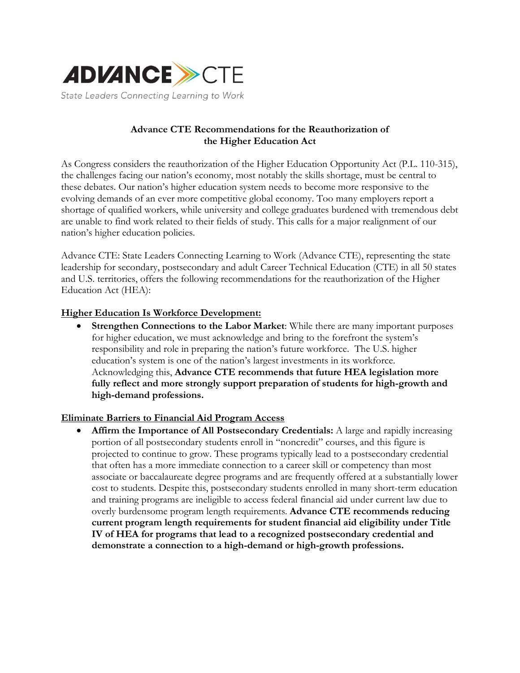

# **Advance CTE Recommendations for the Reauthorization of the Higher Education Act**

As Congress considers the reauthorization of the Higher Education Opportunity Act (P.L. 110-315), the challenges facing our nation's economy, most notably the skills shortage, must be central to these debates. Our nation's higher education system needs to become more responsive to the evolving demands of an ever more competitive global economy. Too many employers report a shortage of qualified workers, while university and college graduates burdened with tremendous debt are unable to find work related to their fields of study. This calls for a major realignment of our nation's higher education policies.

Advance CTE: State Leaders Connecting Learning to Work (Advance CTE), representing the state leadership for secondary, postsecondary and adult Career Technical Education (CTE) in all 50 states and U.S. territories, offers the following recommendations for the reauthorization of the Higher Education Act (HEA):

## **Higher Education Is Workforce Development:**

 **Strengthen Connections to the Labor Market**: While there are many important purposes for higher education, we must acknowledge and bring to the forefront the system's responsibility and role in preparing the nation's future workforce. The U.S. higher education's system is one of the nation's largest investments in its workforce. Acknowledging this, **Advance CTE recommends that future HEA legislation more fully reflect and more strongly support preparation of students for high-growth and high-demand professions.**

### **Eliminate Barriers to Financial Aid Program Access**

 **Affirm the Importance of All Postsecondary Credentials:** A large and rapidly increasing portion of all postsecondary students enroll in "noncredit" courses, and this figure is projected to continue to grow. These programs typically lead to a postsecondary credential that often has a more immediate connection to a career skill or competency than most associate or baccalaureate degree programs and are frequently offered at a substantially lower cost to students. Despite this, postsecondary students enrolled in many short-term education and training programs are ineligible to access federal financial aid under current law due to overly burdensome program length requirements. **Advance CTE recommends reducing current program length requirements for student financial aid eligibility under Title IV of HEA for programs that lead to a recognized postsecondary credential and demonstrate a connection to a high-demand or high-growth professions.**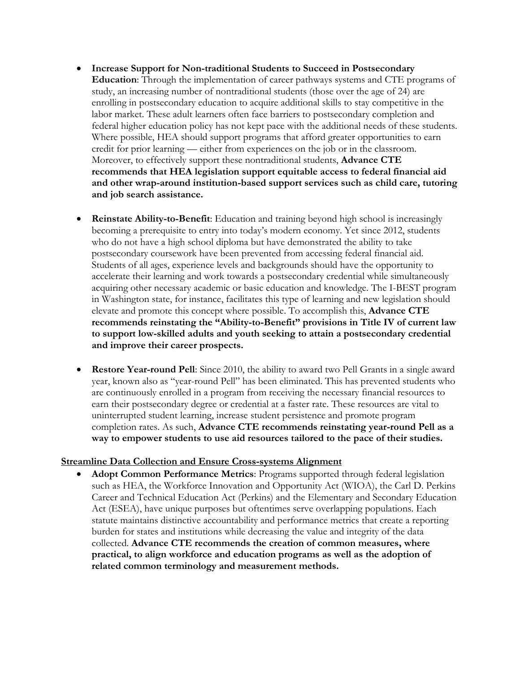- **Increase Support for Non-traditional Students to Succeed in Postsecondary Education**: Through the implementation of career pathways systems and CTE programs of study, an increasing number of nontraditional students (those over the age of 24) are enrolling in postsecondary education to acquire additional skills to stay competitive in the labor market. These adult learners often face barriers to postsecondary completion and federal higher education policy has not kept pace with the additional needs of these students. Where possible, HEA should support programs that afford greater opportunities to earn credit for prior learning — either from experiences on the job or in the classroom. Moreover, to effectively support these nontraditional students, **Advance CTE recommends that HEA legislation support equitable access to federal financial aid and other wrap-around institution-based support services such as child care, tutoring and job search assistance.**
- **Reinstate Ability-to-Benefit**: Education and training beyond high school is increasingly becoming a prerequisite to entry into today's modern economy. Yet since 2012, students who do not have a high school diploma but have demonstrated the ability to take postsecondary coursework have been prevented from accessing federal financial aid. Students of all ages, experience levels and backgrounds should have the opportunity to accelerate their learning and work towards a postsecondary credential while simultaneously acquiring other necessary academic or basic education and knowledge. The I-BEST program in Washington state, for instance, facilitates this type of learning and new legislation should elevate and promote this concept where possible. To accomplish this, **Advance CTE recommends reinstating the "Ability-to-Benefit" provisions in Title IV of current law to support low-skilled adults and youth seeking to attain a postsecondary credential and improve their career prospects.**
- **Restore Year-round Pell**: Since 2010, the ability to award two Pell Grants in a single award year, known also as "year-round Pell" has been eliminated. This has prevented students who are continuously enrolled in a program from receiving the necessary financial resources to earn their postsecondary degree or credential at a faster rate. These resources are vital to uninterrupted student learning, increase student persistence and promote program completion rates. As such, **Advance CTE recommends reinstating year-round Pell as a way to empower students to use aid resources tailored to the pace of their studies.**

## **Streamline Data Collection and Ensure Cross-systems Alignment**

 **Adopt Common Performance Metrics**: Programs supported through federal legislation such as HEA, the Workforce Innovation and Opportunity Act (WIOA), the Carl D. Perkins Career and Technical Education Act (Perkins) and the Elementary and Secondary Education Act (ESEA), have unique purposes but oftentimes serve overlapping populations. Each statute maintains distinctive accountability and performance metrics that create a reporting burden for states and institutions while decreasing the value and integrity of the data collected. **Advance CTE recommends the creation of common measures, where practical, to align workforce and education programs as well as the adoption of related common terminology and measurement methods.**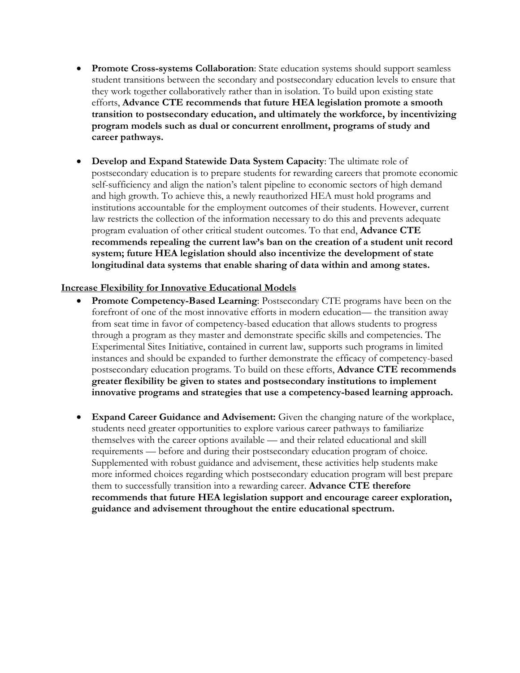- **Promote Cross-systems Collaboration**: State education systems should support seamless student transitions between the secondary and postsecondary education levels to ensure that they work together collaboratively rather than in isolation. To build upon existing state efforts, **Advance CTE recommends that future HEA legislation promote a smooth transition to postsecondary education, and ultimately the workforce, by incentivizing program models such as dual or concurrent enrollment, programs of study and career pathways.**
- **Develop and Expand Statewide Data System Capacity**: The ultimate role of postsecondary education is to prepare students for rewarding careers that promote economic self-sufficiency and align the nation's talent pipeline to economic sectors of high demand and high growth. To achieve this, a newly reauthorized HEA must hold programs and institutions accountable for the employment outcomes of their students. However, current law restricts the collection of the information necessary to do this and prevents adequate program evaluation of other critical student outcomes. To that end, **Advance CTE recommends repealing the current law's ban on the creation of a student unit record system; future HEA legislation should also incentivize the development of state longitudinal data systems that enable sharing of data within and among states.**

## **Increase Flexibility for Innovative Educational Models**

- **Promote Competency-Based Learning**: Postsecondary CTE programs have been on the forefront of one of the most innovative efforts in modern education— the transition away from seat time in favor of competency-based education that allows students to progress through a program as they master and demonstrate specific skills and competencies. The Experimental Sites Initiative, contained in current law, supports such programs in limited instances and should be expanded to further demonstrate the efficacy of competency-based postsecondary education programs. To build on these efforts, **Advance CTE recommends greater flexibility be given to states and postsecondary institutions to implement innovative programs and strategies that use a competency-based learning approach.**
- **Expand Career Guidance and Advisement:** Given the changing nature of the workplace, students need greater opportunities to explore various career pathways to familiarize themselves with the career options available — and their related educational and skill requirements — before and during their postsecondary education program of choice. Supplemented with robust guidance and advisement, these activities help students make more informed choices regarding which postsecondary education program will best prepare them to successfully transition into a rewarding career. **Advance CTE therefore recommends that future HEA legislation support and encourage career exploration, guidance and advisement throughout the entire educational spectrum.**